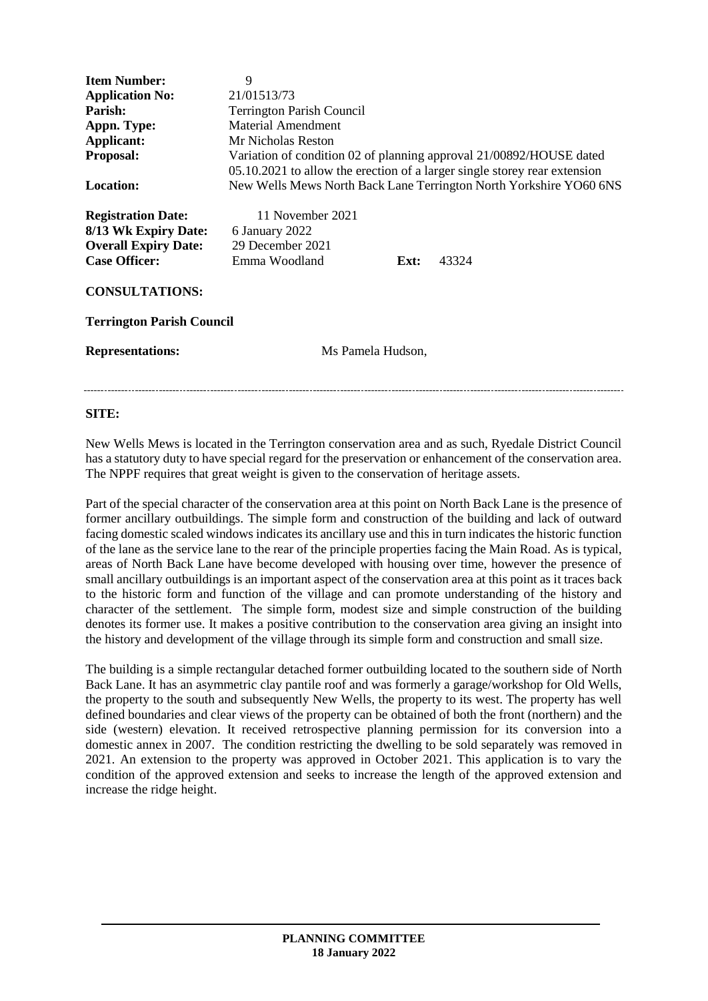| <b>Item Number:</b>              | 9                                                                         |
|----------------------------------|---------------------------------------------------------------------------|
| <b>Application No:</b>           | 21/01513/73                                                               |
| Parish:                          | <b>Terrington Parish Council</b>                                          |
| Appn. Type:                      | Material Amendment                                                        |
| Applicant:                       | Mr Nicholas Reston                                                        |
| Proposal:                        | Variation of condition 02 of planning approval 21/00892/HOUSE dated       |
|                                  | 05.10.2021 to allow the erection of a larger single storey rear extension |
| <b>Location:</b>                 | New Wells Mews North Back Lane Terrington North Yorkshire YO60 6NS        |
|                                  |                                                                           |
| <b>Registration Date:</b>        | 11 November 2021                                                          |
| 8/13 Wk Expiry Date:             | 6 January 2022                                                            |
| <b>Overall Expiry Date:</b>      | 29 December 2021                                                          |
| <b>Case Officer:</b>             | Emma Woodland<br>43324<br>Ext:                                            |
|                                  |                                                                           |
| <b>CONSULTATIONS:</b>            |                                                                           |
|                                  |                                                                           |
| <b>Terrington Parish Council</b> |                                                                           |
|                                  |                                                                           |
| <b>Representations:</b>          | Ms Pamela Hudson,                                                         |
|                                  |                                                                           |
|                                  |                                                                           |

# **SITE:**

New Wells Mews is located in the Terrington conservation area and as such, Ryedale District Council has a statutory duty to have special regard for the preservation or enhancement of the conservation area. The NPPF requires that great weight is given to the conservation of heritage assets.

Part of the special character of the conservation area at this point on North Back Lane is the presence of former ancillary outbuildings. The simple form and construction of the building and lack of outward facing domestic scaled windows indicates its ancillary use and this in turn indicates the historic function of the lane as the service lane to the rear of the principle properties facing the Main Road. As is typical, areas of North Back Lane have become developed with housing over time, however the presence of small ancillary outbuildings is an important aspect of the conservation area at this point as it traces back to the historic form and function of the village and can promote understanding of the history and character of the settlement. The simple form, modest size and simple construction of the building denotes its former use. It makes a positive contribution to the conservation area giving an insight into the history and development of the village through its simple form and construction and small size.

The building is a simple rectangular detached former outbuilding located to the southern side of North Back Lane. It has an asymmetric clay pantile roof and was formerly a garage/workshop for Old Wells, the property to the south and subsequently New Wells, the property to its west. The property has well defined boundaries and clear views of the property can be obtained of both the front (northern) and the side (western) elevation. It received retrospective planning permission for its conversion into a domestic annex in 2007. The condition restricting the dwelling to be sold separately was removed in 2021. An extension to the property was approved in October 2021. This application is to vary the condition of the approved extension and seeks to increase the length of the approved extension and increase the ridge height.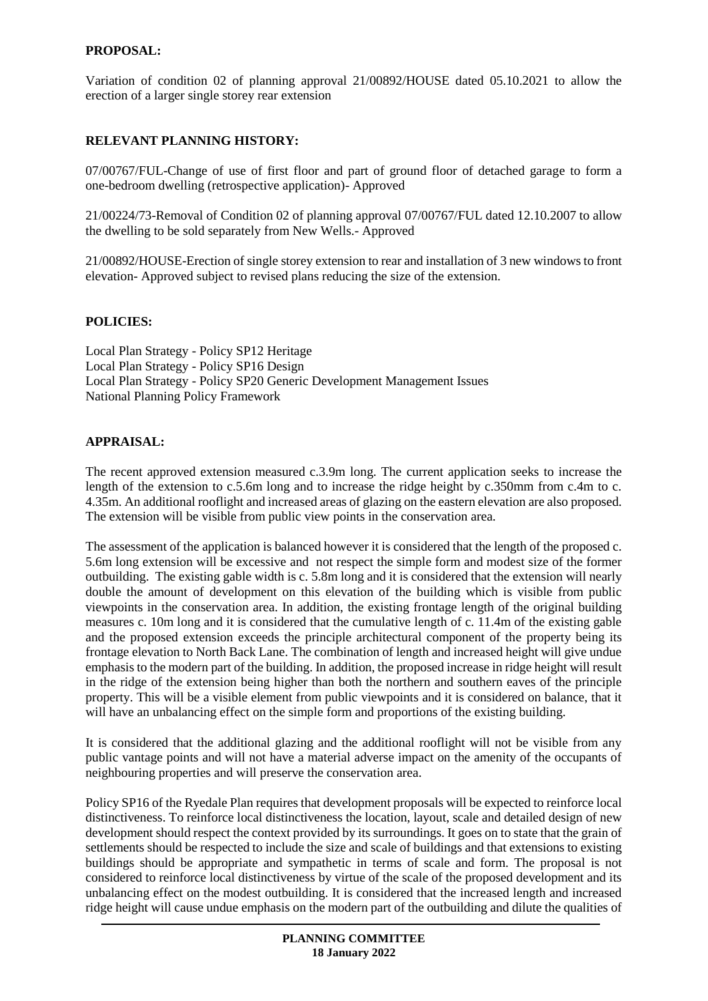# **PROPOSAL:**

Variation of condition 02 of planning approval 21/00892/HOUSE dated 05.10.2021 to allow the erection of a larger single storey rear extension

### **RELEVANT PLANNING HISTORY:**

07/00767/FUL-Change of use of first floor and part of ground floor of detached garage to form a one-bedroom dwelling (retrospective application)- Approved

21/00224/73-Removal of Condition 02 of planning approval 07/00767/FUL dated 12.10.2007 to allow the dwelling to be sold separately from New Wells.- Approved

21/00892/HOUSE-Erection of single storey extension to rear and installation of 3 new windows to front elevation- Approved subject to revised plans reducing the size of the extension.

#### **POLICIES:**

Local Plan Strategy - Policy SP12 Heritage Local Plan Strategy - Policy SP16 Design Local Plan Strategy - Policy SP20 Generic Development Management Issues National Planning Policy Framework

### **APPRAISAL:**

The recent approved extension measured c.3.9m long. The current application seeks to increase the length of the extension to c.5.6m long and to increase the ridge height by c.350mm from c.4m to c. 4.35m. An additional rooflight and increased areas of glazing on the eastern elevation are also proposed. The extension will be visible from public view points in the conservation area.

The assessment of the application is balanced however it is considered that the length of the proposed c. 5.6m long extension will be excessive and not respect the simple form and modest size of the former outbuilding. The existing gable width is c. 5.8m long and it is considered that the extension will nearly double the amount of development on this elevation of the building which is visible from public viewpoints in the conservation area. In addition, the existing frontage length of the original building measures c. 10m long and it is considered that the cumulative length of c. 11.4m of the existing gable and the proposed extension exceeds the principle architectural component of the property being its frontage elevation to North Back Lane. The combination of length and increased height will give undue emphasis to the modern part of the building. In addition, the proposed increase in ridge height will result in the ridge of the extension being higher than both the northern and southern eaves of the principle property. This will be a visible element from public viewpoints and it is considered on balance, that it will have an unbalancing effect on the simple form and proportions of the existing building.

It is considered that the additional glazing and the additional rooflight will not be visible from any public vantage points and will not have a material adverse impact on the amenity of the occupants of neighbouring properties and will preserve the conservation area.

Policy SP16 of the Ryedale Plan requires that development proposals will be expected to reinforce local distinctiveness. To reinforce local distinctiveness the location, layout, scale and detailed design of new development should respect the context provided by its surroundings. It goes on to state that the grain of settlements should be respected to include the size and scale of buildings and that extensions to existing buildings should be appropriate and sympathetic in terms of scale and form. The proposal is not considered to reinforce local distinctiveness by virtue of the scale of the proposed development and its unbalancing effect on the modest outbuilding. It is considered that the increased length and increased ridge height will cause undue emphasis on the modern part of the outbuilding and dilute the qualities of